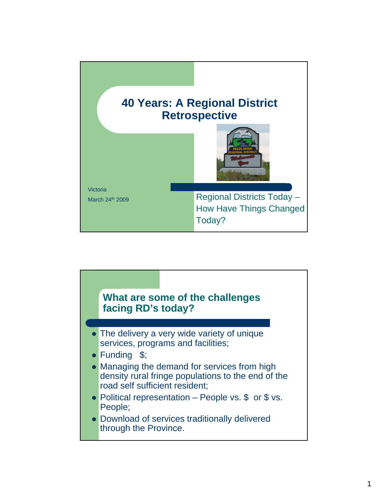

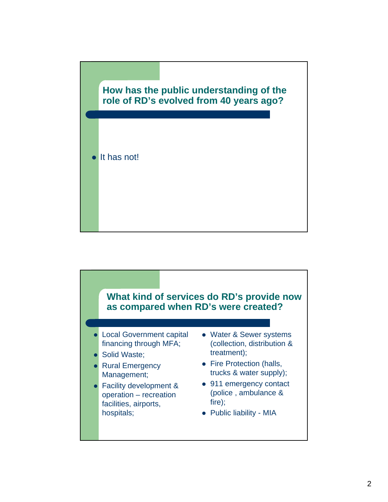## **How has the public understanding of the role of RD's evolved from 40 years ago?**



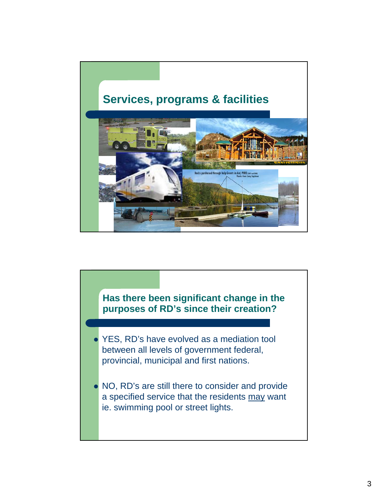

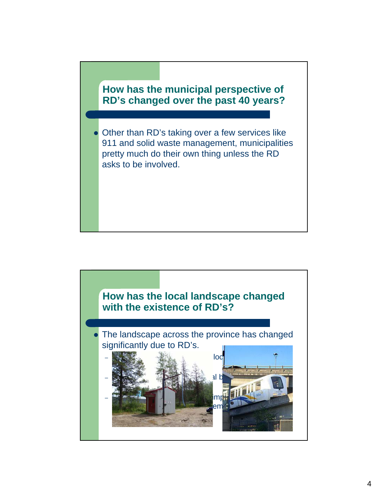

 Other than RD's taking over a few services like 911 and solid waste management, municipalities pretty much do their own thing unless the RD asks to be involved.